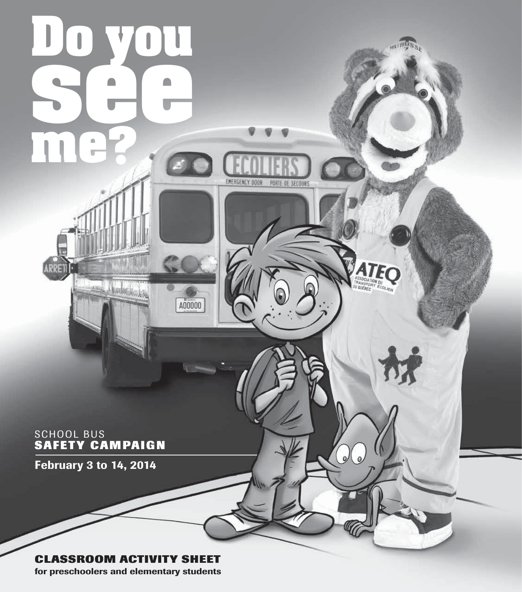

**for preschoolers and elementary students**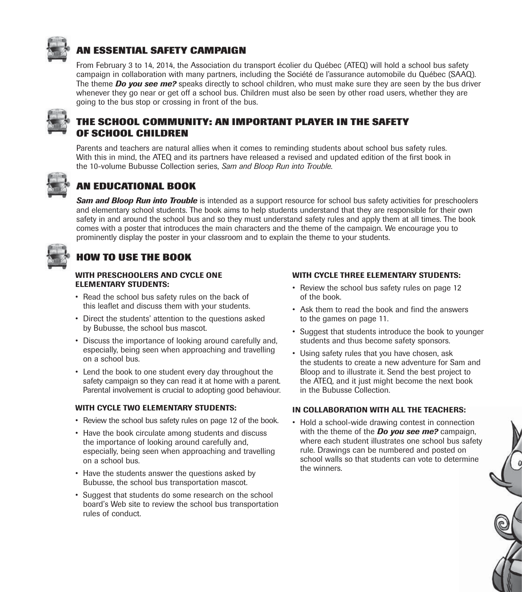

## **AN ESSENTIAL SAFETY CAMPAIGN**

From February 3 to 14, 2014, the Association du transport écolier du Québec (ATEQ) will hold a school bus safety campaign in collaboration with many partners, including the Société de l'assurance automobile du Québec (SAAQ). The theme *Do you see me?* speaks directly to school children, who must make sure they are seen by the bus driver whenever they go near or get off a school bus. Children must also be seen by other road users, whether they are going to the bus stop or crossing in front of the bus.



### **THE SCHOOL COMMUNITY: AN IMPORTANT PLAYER IN THE SAFETY OF SCHOOL CHILDREN**

Parents and teachers are natural allies when it comes to reminding students about school bus safety rules. With this in mind, the ATEQ and its partners have released a revised and updated edition of the first book in the 10-volume Bubusse Collection series, *Sam and Bloop Run into Trouble*.



## **AN EDUCATIONAL BOOK**

*Sam and Bloop Run into Trouble* is intended as a support resource for school bus safety activities for preschoolers and elementary school students. The book aims to help students understand that they are responsible for their own safety in and around the school bus and so they must understand safety rules and apply them at all times. The book comes with a poster that introduces the main characters and the theme of the campaign. We encourage you to prominently display the poster in your classroom and to explain the theme to your students.



# **HOW TO USE THE BOOK**

#### **WITH PRESCHOOLERS AND CYCLE ONE ELEMENTARY STUDENTS:**

- Read the school bus safety rules on the back of this leaflet and discuss them with your students.
- Direct the students' attention to the questions asked by Bubusse, the school bus mascot.
- Discuss the importance of looking around carefully and, especially, being seen when approaching and travelling on a school bus.
- Lend the book to one student every day throughout the safety campaign so they can read it at home with a parent. Parental involvement is crucial to adopting good behaviour.

#### **WITH CYCLE TWO ELEMENTARY STUDENTS:**

- Review the school bus safety rules on page 12 of the book.
- Have the book circulate among students and discuss the importance of looking around carefully and, especially, being seen when approaching and travelling on a school bus.
- Have the students answer the questions asked by Bubusse, the school bus transportation mascot.
- Suggest that students do some research on the school board's Web site to review the school bus transportation rules of conduct.

#### **WITH CYCLE THREE ELEMENTARY STUDENTS:**

- Review the school bus safety rules on page 12 of the book.
- Ask them to read the book and find the answers to the games on page 11.
- Suggest that students introduce the book to vounger students and thus become safety sponsors.
- Using safety rules that you have chosen, ask the students to create a new adventure for Sam and Bloop and to illustrate it. Send the best project to the ATEQ, and it just might become the next book in the Bubusse Collection.

#### **IN COLLABORATION WITH ALL THE TEACHERS:**

• Hold a school-wide drawing contest in connection with the theme of the *Do you see me?* campaign, where each student illustrates one school bus safety rule. Drawings can be numbered and posted on school walls so that students can vote to determine the winners.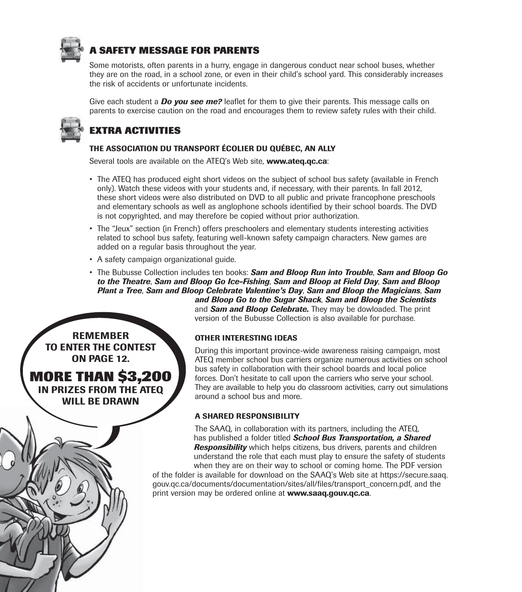

## **SAFETY MESSAGE FOR PARENTS**

Some motorists, often parents in a hurry, engage in dangerous conduct near school buses, whether they are on the road, in a school zone, or even in their child's school yard. This considerably increases the risk of accidents or unfortunate incidents.

Give each student a *Do you see me?* leaflet for them to give their parents. This message calls on parents to exercise caution on the road and encourages them to review safety rules with their child.



## **EXTRA ACTIVITIES**

#### **THE ASSOCIATION DU TRANSPORT ÉCOLIER DU QUÉBEC, AN ALLY**

Several tools are available on the ATEQ's Web site, **www.ateq.qc.ca**:

- The ATEQ has produced eight short videos on the subiect of school bus safety (available in French) only). Watch these videos with your students and, if necessary, with their parents. In fall 2012, these short videos were also distributed on DVD to all public and private francophone preschools and elementary schools as well as anglophone schools identified by their school boards. The DVD is not copyrighted, and may therefore be copied without prior authorization.
- The "Jeux" section (in French) offers preschoolers and elementary students interesting activities related to school bus safety, featuring well-known safety campaign characters. New games are added on a regular basis throughout the year.
- A safety campaign organizational guide.
- The Bubusse Collection includes ten books: **Sam and Bloop Run into Trouble**, **Sam and Bloop Go** *to the Theatre*, *Sam and Bloop Go Ice-Fishing*, *Sam and Bloop at Field Day*, *Sam and Bloop Plant a Tree*, *Sam and Bloop Celebrate Valentine's Day*, *Sam and Bloop the Magicians*, *Sam and Bloop Go to the Sugar Shack*, *Sam and Bloop the Scientists*

and *Sam and Bloop Celebrate.* They may be dowloaded. The print version of the Bubusse Collection is also available for purchase.

**REMEMBER TO ENTER THE CONTEST ON PAGE 12.** 

**MORE THAN \$3,200 IN PRIZES FROM THE ATEQ WILL BE DRAWN**

#### **OTHER INTERESTING IDEAS**

During this important province-wide awareness raising campaign, most ATEQ member school bus carriers organize numerous activities on school bus safety in collaboration with their school boards and local police forces. Don't hesitate to call upon the carriers who serve your school. They are available to help you do classroom activities, carry out simulations around a school bus and more.

#### **A SHARED RESPONSIBILITY**

The SAAQ, in collaboration with its partners, including the ATEQ, has published a folder titled *School Bus Transportation, a Shared Responsibility* which helps citizens, bus drivers, parents and children understand the role that each must play to ensure the safety of students when they are on their way to school or coming home. The PDF version of the folder is available for download on the SAAQ's Web site at https://secure.saaq.

gouv.qc.ca/documents/documentation/sites/all/files/transport\_concern.pdf, and the print version may be ordered online at **www.saaq.gouv.qc.ca**.